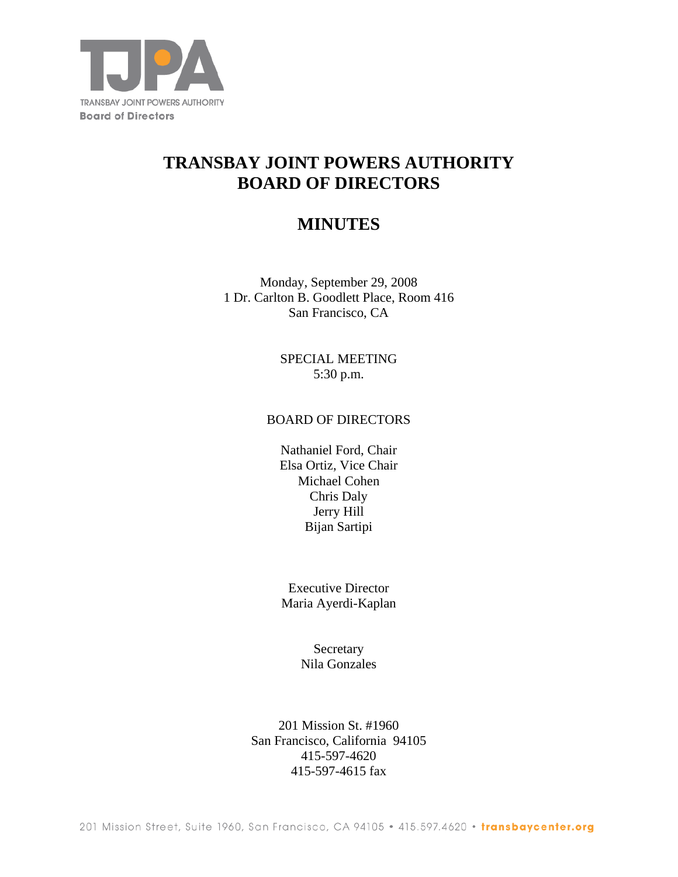

# **TRANSBAY JOINT POWERS AUTHORITY BOARD OF DIRECTORS**

# **MINUTES**

Monday, September 29, 2008 1 Dr. Carlton B. Goodlett Place, Room 416 San Francisco, CA

> SPECIAL MEETING 5:30 p.m.

#### BOARD OF DIRECTORS

Nathaniel Ford, Chair Elsa Ortiz, Vice Chair Michael Cohen Chris Daly Jerry Hill Bijan Sartipi

Executive Director Maria Ayerdi-Kaplan

> Secretary Nila Gonzales

201 Mission St. #1960 San Francisco, California 94105 415-597-4620 415-597-4615 fax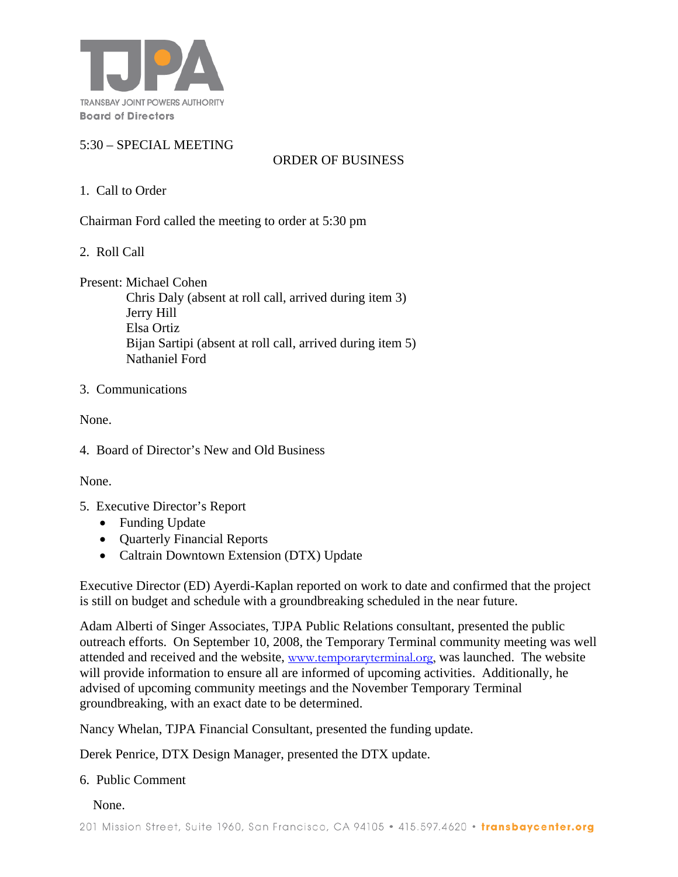

### 5:30 – SPECIAL MEETING

ORDER OF BUSINESS

# 1. Call to Order

Chairman Ford called the meeting to order at 5:30 pm

2. Roll Call

Present: Michael Cohen

 Chris Daly (absent at roll call, arrived during item 3) Jerry Hill Elsa Ortiz Bijan Sartipi (absent at roll call, arrived during item 5) Nathaniel Ford

#### 3. Communications

None.

4. Board of Director's New and Old Business

None.

- 5. Executive Director's Report
	- Funding Update
	- **Quarterly Financial Reports**
	- Caltrain Downtown Extension (DTX) Update

Executive Director (ED) Ayerdi-Kaplan reported on work to date and confirmed that the project is still on budget and schedule with a groundbreaking scheduled in the near future.

Adam Alberti of Singer Associates, TJPA Public Relations consultant, presented the public outreach efforts. On September 10, 2008, the Temporary Terminal community meeting was well attended and received and the website, www.temporaryterminal.org, was launched. The website will provide information to ensure all are informed of upcoming activities. Additionally, he advised of upcoming community meetings and the November Temporary Terminal groundbreaking, with an exact date to be determined.

Nancy Whelan, TJPA Financial Consultant, presented the funding update.

Derek Penrice, DTX Design Manager, presented the DTX update.

#### 6. Public Comment

None.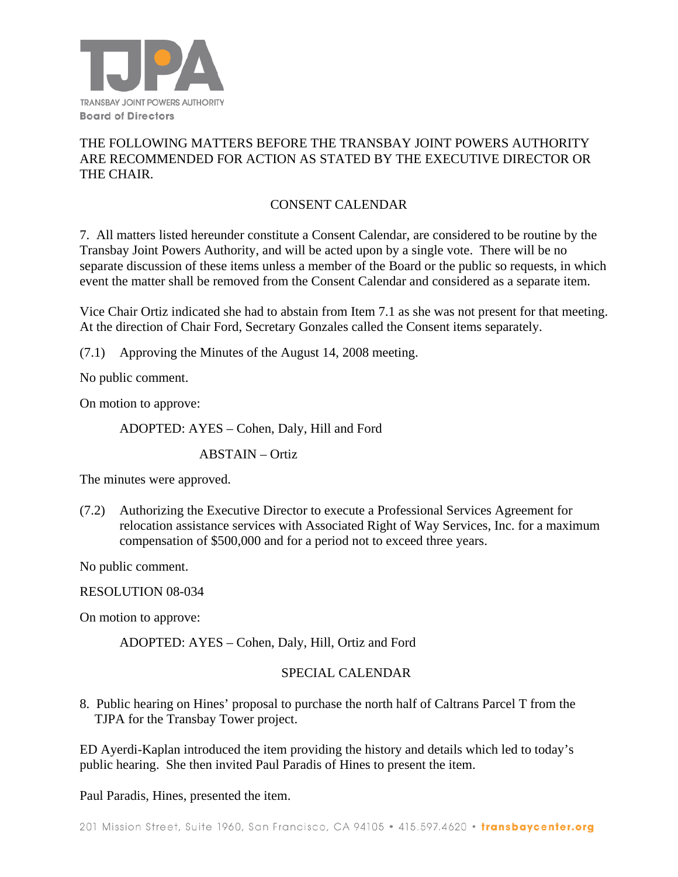

# THE FOLLOWING MATTERS BEFORE THE TRANSBAY JOINT POWERS AUTHORITY ARE RECOMMENDED FOR ACTION AS STATED BY THE EXECUTIVE DIRECTOR OR THE CHAIR.

# CONSENT CALENDAR

7. All matters listed hereunder constitute a Consent Calendar, are considered to be routine by the Transbay Joint Powers Authority, and will be acted upon by a single vote. There will be no separate discussion of these items unless a member of the Board or the public so requests, in which event the matter shall be removed from the Consent Calendar and considered as a separate item.

Vice Chair Ortiz indicated she had to abstain from Item 7.1 as she was not present for that meeting. At the direction of Chair Ford, Secretary Gonzales called the Consent items separately.

(7.1) Approving the Minutes of the August 14, 2008 meeting.

No public comment.

On motion to approve:

ADOPTED: AYES – Cohen, Daly, Hill and Ford

ABSTAIN – Ortiz

The minutes were approved.

(7.2) Authorizing the Executive Director to execute a Professional Services Agreement for relocation assistance services with Associated Right of Way Services, Inc. for a maximum compensation of \$500,000 and for a period not to exceed three years.

No public comment.

RESOLUTION 08-034

On motion to approve:

ADOPTED: AYES – Cohen, Daly, Hill, Ortiz and Ford

#### SPECIAL CALENDAR

8. Public hearing on Hines' proposal to purchase the north half of Caltrans Parcel T from the TJPA for the Transbay Tower project.

ED Ayerdi-Kaplan introduced the item providing the history and details which led to today's public hearing. She then invited Paul Paradis of Hines to present the item.

Paul Paradis, Hines, presented the item.